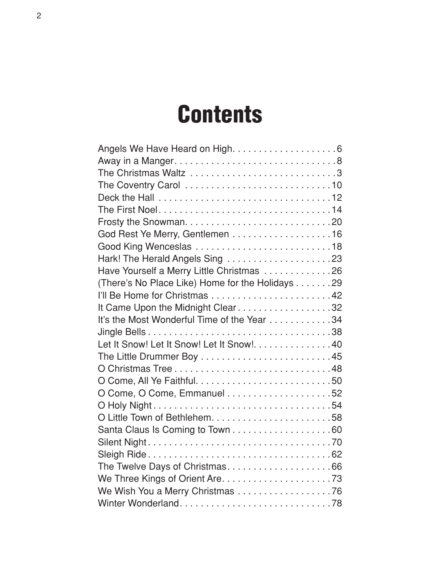#### **Contents**

| God Rest Ye Merry, Gentlemen 16                  |  |
|--------------------------------------------------|--|
|                                                  |  |
|                                                  |  |
| Have Yourself a Merry Little Christmas 26        |  |
| (There's No Place Like) Home for the Holidays 29 |  |
|                                                  |  |
| It Came Upon the Midnight Clear32                |  |
| It's the Most Wonderful Time of the Year 34      |  |
|                                                  |  |
| Let It Snow! Let It Snow! Let It Snow!. 40       |  |
|                                                  |  |
|                                                  |  |
|                                                  |  |
|                                                  |  |
|                                                  |  |
|                                                  |  |
| Santa Claus Is Coming to Town 60                 |  |
|                                                  |  |
|                                                  |  |
|                                                  |  |
|                                                  |  |
| We Wish You a Merry Christmas 76                 |  |
|                                                  |  |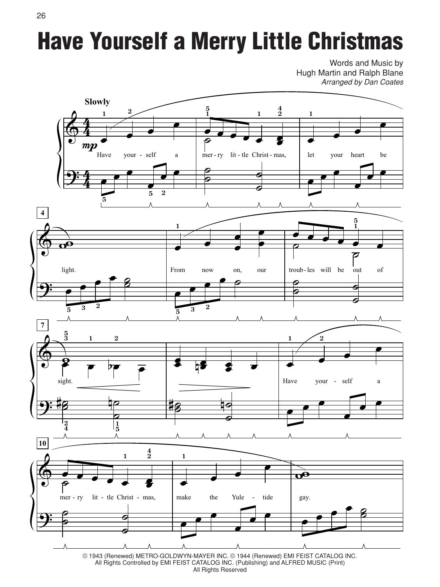# Have Yourself a Merry Little Christmas

Words and Music by Hugh Martin and Ralph Blane *Arranged by Dan Coates*



© 1943 (Renewed) METRO-GOLDWYN-MAYER INC. © 1944 (Renewed) EMI FEIST CATALOG INC. All Rights Controlled by EMI FEIST CATALOG INC. (Publishing) and ALFRED MUSIC (Print) All Rights Reserved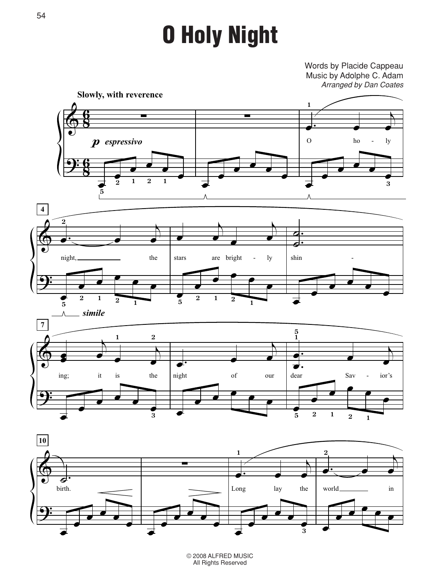# O Holy Night

Words by Placide Cappeau Music by Adolphe C. Adam *Arranged by Dan Coates*





© 2008 ALFRED MUSIC All Rights Reserved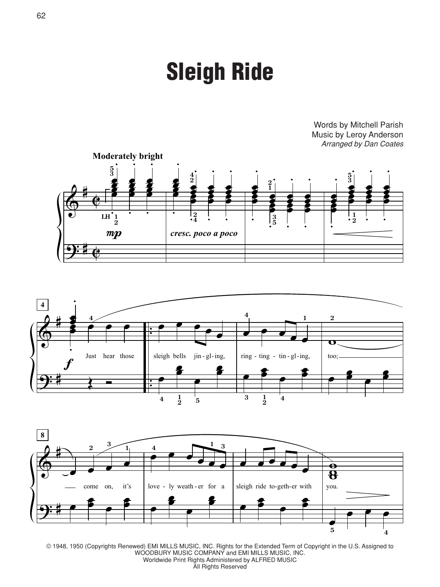### Sleigh Ride

Words by Mitchell Parish Music by Leroy Anderson *Arranged by Dan Coates*







© 1948, 1950 (Copyrights Renewed) EMI MILLS MUSIC, INC. Rights for the Extended Term of Copyright in the U.S. Assigned to WOODBURY MUSIC COMPANY and EMI MILLS MUSIC, INC. Worldwide Print Rights Administered by ALFRED MUSIC

All Rights Reserved